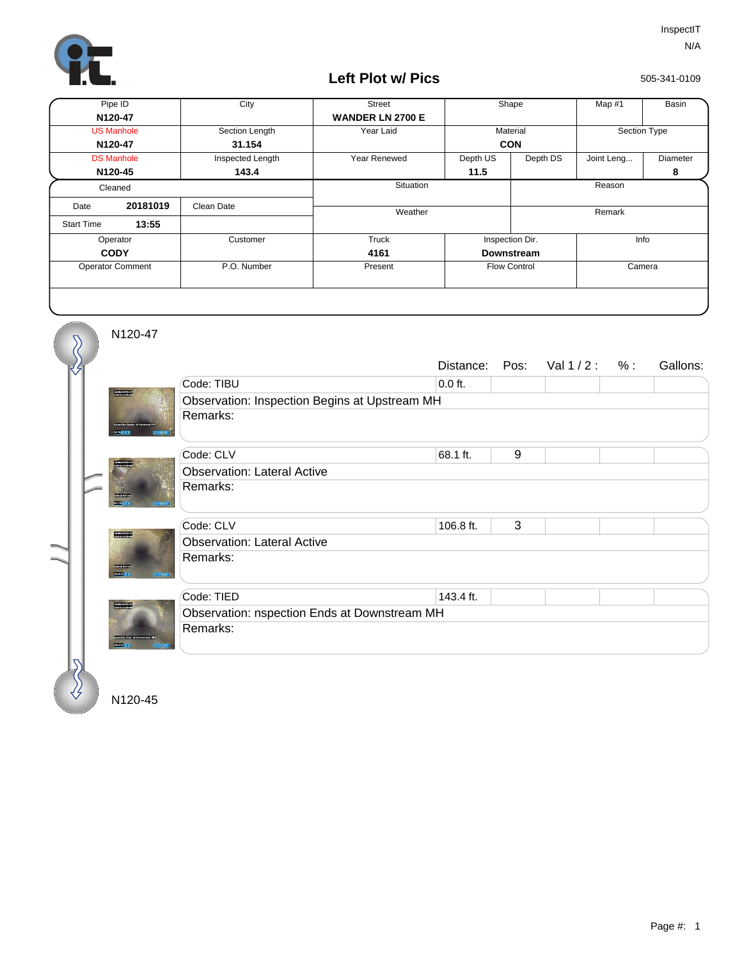

## **Left Plot w/ Pics**

505-341-0109

| Pipe ID                 |          | City             | <b>Street</b>           | Shape               |          | Map #1       | Basin    |
|-------------------------|----------|------------------|-------------------------|---------------------|----------|--------------|----------|
| N120-47                 |          |                  | <b>WANDER LN 2700 E</b> |                     |          |              |          |
| <b>US Manhole</b>       |          | Section Length   | Year Laid               | Material            |          | Section Type |          |
| N120-47                 |          | 31.154           |                         | <b>CON</b>          |          |              |          |
| <b>DS Manhole</b>       |          | Inspected Length | Year Renewed            | Depth US            | Depth DS | Joint Leng   | Diameter |
| N120-45                 |          | 143.4            |                         | 11.5                |          |              | 8        |
| Cleaned                 |          |                  | Situation               |                     | Reason   |              |          |
| Date                    | 20181019 | Clean Date       | Weather                 |                     |          | Remark       |          |
| <b>Start Time</b>       | 13:55    |                  |                         |                     |          |              |          |
| Operator                |          | Customer         | Truck                   | Inspection Dir.     |          | Info         |          |
| <b>CODY</b>             |          |                  | 4161                    | <b>Downstream</b>   |          |              |          |
| <b>Operator Comment</b> |          | P.O. Number      | Present                 | <b>Flow Control</b> |          | Camera       |          |
|                         |          |                  |                         |                     |          |              |          |

N120-47

 $\overline{\mathcal{S}}$ 

|                               |                                               | Distance: | Pos: | Val $1/2: %$ |  | Gallons: |  |  |  |
|-------------------------------|-----------------------------------------------|-----------|------|--------------|--|----------|--|--|--|
|                               | Code: TIBU                                    | $0.0$ ft. |      |              |  |          |  |  |  |
| <b>PANDRITZE</b>              | Observation: Inspection Begins at Upstream MH |           |      |              |  |          |  |  |  |
| <b>AP THEFT TER</b>           | Remarks:                                      |           |      |              |  |          |  |  |  |
|                               | Code: CLV                                     | 68.1 ft.  | 9    |              |  |          |  |  |  |
| 1988 1999<br>1999 1999 1999   | <b>Observation: Lateral Active</b>            |           |      |              |  |          |  |  |  |
| 2000(1)<br>01/10/06 10:1      | Remarks:                                      |           |      |              |  |          |  |  |  |
|                               | Code: CLV                                     | 106.8 ft. | 3    |              |  |          |  |  |  |
| <b>Holland</b>                | <b>Observation: Lateral Active</b>            |           |      |              |  |          |  |  |  |
| orant.                        | Remarks:                                      |           |      |              |  |          |  |  |  |
|                               | Code: TIED                                    | 143.4 ft. |      |              |  |          |  |  |  |
| -------------<br>------------ | Observation: nspection Ends at Downstream MH  |           |      |              |  |          |  |  |  |
|                               | Remarks:                                      |           |      |              |  |          |  |  |  |
|                               |                                               |           |      |              |  |          |  |  |  |

N120-45

∛